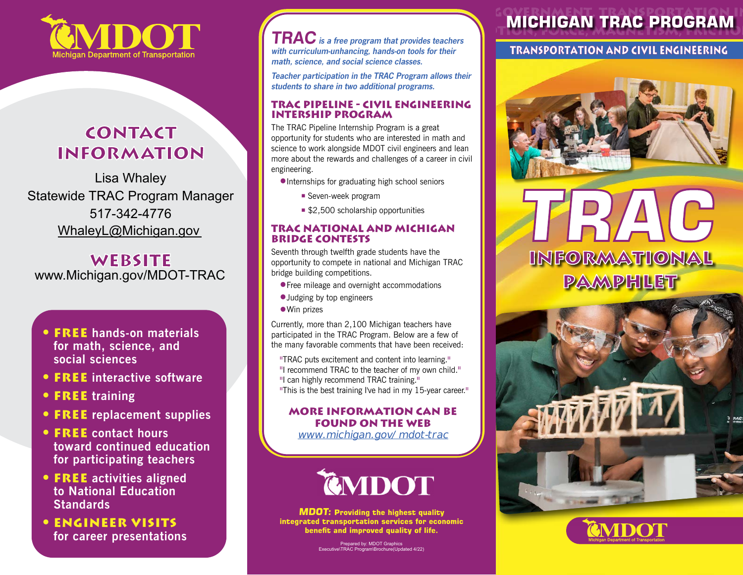

### **contact information**

WhaleyL@Michigan.gov Lisa Whaley Statewide TRAC Program Manager 517-342-4776

**website** [www.Michigan.gov/MDOT-TRAC](http://www.Michigan.gov/MDOT-TRAC)

- • **FREE hands-on materials for math, science, and social sciences**
- • **FREE interactive software**
- • **FREE training**
- • **FREE replacement supplies**
- • **FREE contact hours toward continued education for participating teachers**
- • **FREE activities aligned to National Education Standards**
- • **Engineer visits for career presentations**

**TRAC** is a free program that provides teachers with curriculum-unhancing, hands-on tools for their math, science, and social science classes.

Teacher participation in the TRAC Program allows their students to share in two additional programs.

#### **Trac Pipeline - Civil engineering Intership program**

The TRAC Pipeline Internship Program is a great opportunity for students who are interested in math and science to work alongside MDOT civil engineers and lean more about the rewards and challenges of a career in civil engineering.

- •Internships for graduating high school seniors
	- Seven-week program
	- \$2,500 scholarship opportunities

#### **trac national and michigan bridge contests**

Seventh through twelfth grade students have the opportunity to compete in national and Michigan TRAC bridge building competitions.

- **Free mileage and overnight accommodations**
- •Judging by top engineers
- Win prizes

Currently, more than 2,100 Michigan teachers have participated in the TRAC Program. Below are a few of the many favorable comments that have been received:

- 
- 

"TRAC puts excitement and content into learning." "I recommend TRAC to the teacher of my own child." "I can highly recommend TRAC training." "This is the best training I've had in my 15-year career."

#### **more information can be found on the web**

[www.michigan.gov/mdot-trac](http://www.michigan.gov/mdot-trac)



**MDOT:** Providing the highest quality integrated transportation services for economic benefit and improved quality of life.

> Prepared by: MDOT Graphics Executive\TRAC Program\Brochure(Updated 4/22)

## **MICHIGAN TRAC PROGRAM**

**TRANSPORTATION AND CIVIL ENGINEERING** 



# INFORMATIONAL PAMPHLET